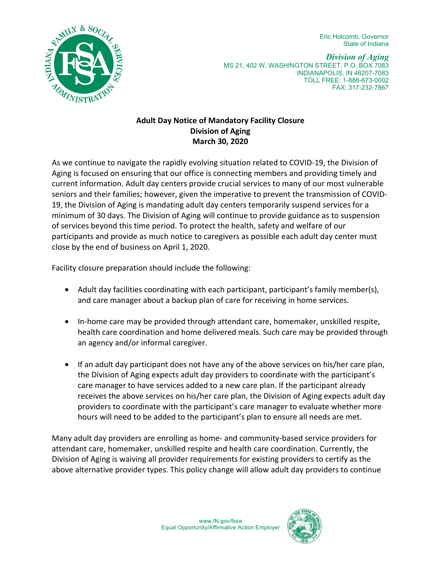Eric Holcomb, Governor State of Indiana



*Division of Aging* MS 21, 402 W. WASHINGTON STREET, P.O. BOX 7083 INDIANAPOLIS, IN 46207-7083 TOLL FREE: 1-888-673-0002 FAX: 317-232-7867

## **Adult Day Notice of Mandatory Facility Closure Division of Aging March 30, 2020**

As we continue to navigate the rapidly evolving situation related to COVID-19, the Division of Aging is focused on ensuring that our office is connecting members and providing timely and current information. Adult day centers provide crucial services to many of our most vulnerable seniors and their families; however, given the imperative to prevent the transmission of COVID-19, the Division of Aging is mandating adult day centers temporarily suspend services for a minimum of 30 days. The Division of Aging will continue to provide guidance as to suspension of services beyond this time period. To protect the health, safety and welfare of our participants and provide as much notice to caregivers as possible each adult day center must close by the end of business on April 1, 2020.

Facility closure preparation should include the following:

- Adult day facilities coordinating with each participant, participant's family member(s), and care manager about a backup plan of care for receiving in home services.
- In-home care may be provided through attendant care, homemaker, unskilled respite, health care coordination and home delivered meals. Such care may be provided through an agency and/or informal caregiver.
- If an adult day participant does not have any of the above services on his/her care plan, the Division of Aging expects adult day providers to coordinate with the participant's care manager to have services added to a new care plan. If the participant already receives the above services on his/her care plan, the Division of Aging expects adult day providers to coordinate with the participant's care manager to evaluate whether more hours will need to be added to the participant's plan to ensure all needs are met.

Many adult day providers are enrolling as home- and community-based service providers for attendant care, homemaker, unskilled respite and health care coordination. Currently, the Division of Aging is waiving all provider requirements for existing providers to certify as the above alternative provider types. This policy change will allow adult day providers to continue